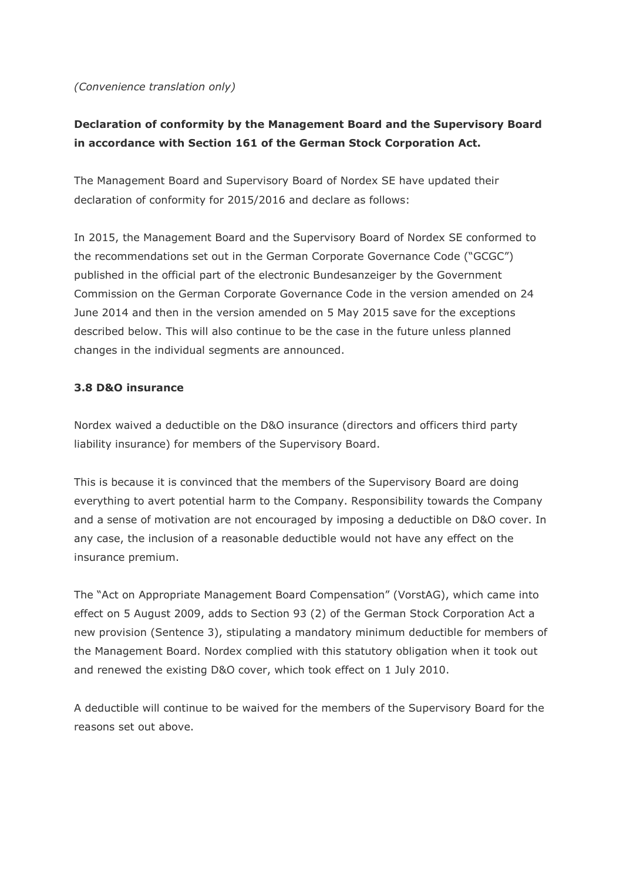#### *(Convenience translation only)*

# **Declaration of conformity by the Management Board and the Supervisory Board in accordance with Section 161 of the German Stock Corporation Act.**

The Management Board and Supervisory Board of Nordex SE have updated their declaration of conformity for 2015/2016 and declare as follows:

In 2015, the Management Board and the Supervisory Board of Nordex SE conformed to the recommendations set out in the German Corporate Governance Code ("GCGC") published in the official part of the electronic Bundesanzeiger by the Government Commission on the German Corporate Governance Code in the version amended on 24 June 2014 and then in the version amended on 5 May 2015 save for the exceptions described below. This will also continue to be the case in the future unless planned changes in the individual segments are announced.

#### **3.8 D&O insurance**

Nordex waived a deductible on the D&O insurance (directors and officers third party liability insurance) for members of the Supervisory Board.

This is because it is convinced that the members of the Supervisory Board are doing everything to avert potential harm to the Company. Responsibility towards the Company and a sense of motivation are not encouraged by imposing a deductible on D&O cover. In any case, the inclusion of a reasonable deductible would not have any effect on the insurance premium.

The "Act on Appropriate Management Board Compensation" (VorstAG), which came into effect on 5 August 2009, adds to Section 93 (2) of the German Stock Corporation Act a new provision (Sentence 3), stipulating a mandatory minimum deductible for members of the Management Board. Nordex complied with this statutory obligation when it took out and renewed the existing D&O cover, which took effect on 1 July 2010.

A deductible will continue to be waived for the members of the Supervisory Board for the reasons set out above.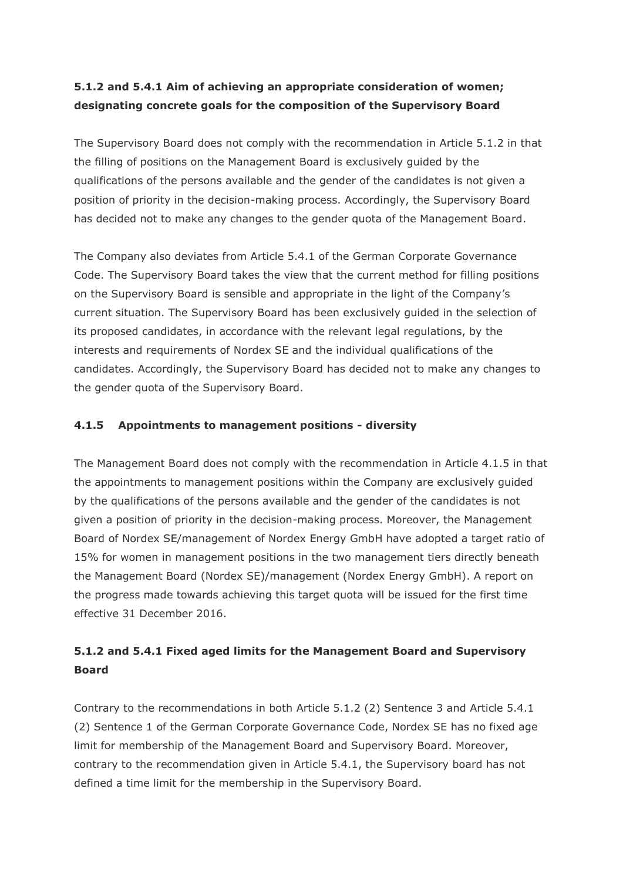## **5.1.2 and 5.4.1 Aim of achieving an appropriate consideration of women; designating concrete goals for the composition of the Supervisory Board**

The Supervisory Board does not comply with the recommendation in Article 5.1.2 in that the filling of positions on the Management Board is exclusively guided by the qualifications of the persons available and the gender of the candidates is not given a position of priority in the decision-making process. Accordingly, the Supervisory Board has decided not to make any changes to the gender quota of the Management Board.

The Company also deviates from Article 5.4.1 of the German Corporate Governance Code. The Supervisory Board takes the view that the current method for filling positions on the Supervisory Board is sensible and appropriate in the light of the Company's current situation. The Supervisory Board has been exclusively guided in the selection of its proposed candidates, in accordance with the relevant legal regulations, by the interests and requirements of Nordex SE and the individual qualifications of the candidates. Accordingly, the Supervisory Board has decided not to make any changes to the gender quota of the Supervisory Board.

### **4.1.5 Appointments to management positions - diversity**

The Management Board does not comply with the recommendation in Article 4.1.5 in that the appointments to management positions within the Company are exclusively guided by the qualifications of the persons available and the gender of the candidates is not given a position of priority in the decision-making process. Moreover, the Management Board of Nordex SE/management of Nordex Energy GmbH have adopted a target ratio of 15% for women in management positions in the two management tiers directly beneath the Management Board (Nordex SE)/management (Nordex Energy GmbH). A report on the progress made towards achieving this target quota will be issued for the first time effective 31 December 2016.

### **5.1.2 and 5.4.1 Fixed aged limits for the Management Board and Supervisory Board**

Contrary to the recommendations in both Article 5.1.2 (2) Sentence 3 and Article 5.4.1 (2) Sentence 1 of the German Corporate Governance Code, Nordex SE has no fixed age limit for membership of the Management Board and Supervisory Board. Moreover, contrary to the recommendation given in Article 5.4.1, the Supervisory board has not defined a time limit for the membership in the Supervisory Board.